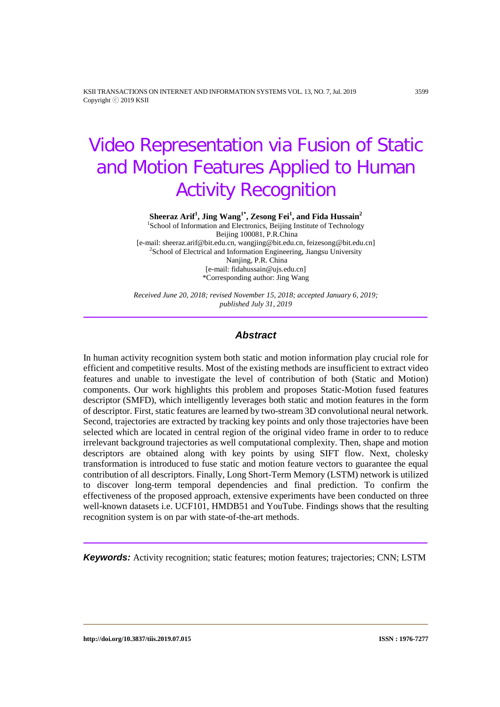KSII TRANSACTIONS ON INTERNET AND INFORMATION SYSTEMS VOL. 13, NO. 7, Jul. 2019 3599 Copyright ⓒ 2019 KSII

# Video Representation via Fusion of Static and Motion Features Applied to Human Activity Recognition

**Sheeraz Arif<sup>1</sup>, Jing Wang<sup>1\*</sup>, Zesong Fei<sup>1</sup>, and Fida Hussain<sup>2</sup><br><sup>1</sup>School of Information and Electronics, Beijing Institute of Technology** Beijing 100081, P.R.China [e-mail: sheeraz.arif@bit.edu.cn, wangjing@bit.edu.cn, feizesong@bit.edu.cn] <sup>2</sup>  $2$ School of Electrical and Information Engineering, Jiangsu University Nanjing, P.R. China [e-mail: fidahussain@ujs.edu.cn] \*Corresponding author: Jing Wang

*Received June 20, 2018; revised November 15, 2018; accepted January 6, 2019; published July 31, 2019*

## *Abstract*

In human activity recognition system both static and motion information play crucial role for efficient and competitive results. Most of the existing methods are insufficient to extract video features and unable to investigate the level of contribution of both (Static and Motion) components. Our work highlights this problem and proposes Static-Motion fused features descriptor (SMFD), which intelligently leverages both static and motion features in the form of descriptor. First, static features are learned by two-stream 3D convolutional neural network. Second, trajectories are extracted by tracking key points and only those trajectories have been selected which are located in central region of the original video frame in order to to reduce irrelevant background trajectories as well computational complexity. Then, shape and motion descriptors are obtained along with key points by using SIFT flow. Next, cholesky transformation is introduced to fuse static and motion feature vectors to guarantee the equal contribution of all descriptors. Finally, Long Short-Term Memory (LSTM) network is utilized to discover long-term temporal dependencies and final prediction. To confirm the effectiveness of the proposed approach, extensive experiments have been conducted on three well-known datasets i.e. UCF101, HMDB51 and YouTube. Findings shows that the resulting recognition system is on par with state-of-the-art methods.

*Keywords:* Activity recognition; static features; motion features; trajectories; CNN; LSTM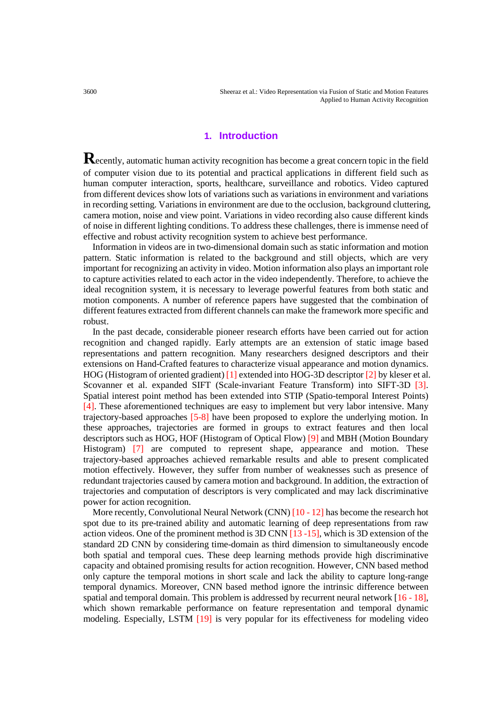3600 Sheeraz et al.: Video Representation via Fusion of Static and Motion Features Applied to Human Activity Recognition

# **1. Introduction**

Recently, automatic human activity recognition has become a great concern topic in the field of computer vision due to its potential and practical applications in different field such as human computer interaction, sports, healthcare, surveillance and robotics. Video captured from different devices show lots of variations such as variations in environment and variations in recording setting. Variations in environment are due to the occlusion, background cluttering, camera motion, noise and view point. Variations in video recording also cause different kinds of noise in different lighting conditions. To address these challenges, there is immense need of effective and robust activity recognition system to achieve best performance.

Information in videos are in two-dimensional domain such as static information and motion pattern. Static information is related to the background and still objects, which are very important for recognizing an activity in video. Motion information also plays an important role to capture activities related to each actor in the video independently. Therefore, to achieve the ideal recognition system, it is necessary to leverage powerful features from both static and motion components. A number of reference papers have suggested that the combination of different features extracted from different channels can make the framework more specific and robust.

In the past decade, considerable pioneer research efforts have been carried out for action recognition and changed rapidly. Early attempts are an extension of static image based representations and pattern recognition. Many researchers designed descriptors and their extensions on Hand-Crafted features to characterize visual appearance and motion dynamics. HOG (Histogram of oriented gradient) [1] extended into HOG-3D descriptor [2] by kleser et al. Scovanner et al. expanded SIFT (Scale-invariant Feature Transform) into SIFT-3D [3]. Spatial interest point method has been extended into STIP (Spatio-temporal Interest Points) [4]. These aforementioned techniques are easy to implement but very labor intensive. Many trajectory-based approaches [5-8] have been proposed to explore the underlying motion. In these approaches, trajectories are formed in groups to extract features and then local descriptors such as HOG, HOF (Histogram of Optical Flow) [9] and MBH (Motion Boundary Histogram) [7] are computed to represent shape, appearance and motion. These trajectory-based approaches achieved remarkable results and able to present complicated motion effectively. However, they suffer from number of weaknesses such as presence of redundant trajectories caused by camera motion and background. In addition, the extraction of trajectories and computation of descriptors is very complicated and may lack discriminative power for action recognition.

More recently, Convolutional Neural Network (CNN)  $[10 - 12]$  has become the research hot spot due to its pre-trained ability and automatic learning of deep representations from raw action videos. One of the prominent method is 3D CNN [13 -15], which is 3D extension of the standard 2D CNN by considering time-domain as third dimension to simultaneously encode both spatial and temporal cues. These deep learning methods provide high discriminative capacity and obtained promising results for action recognition. However, CNN based method only capture the temporal motions in short scale and lack the ability to capture long-range temporal dynamics. Moreover, CNN based method ignore the intrinsic difference between spatial and temporal domain. This problem is addressed by recurrent neural network [16 - 18], which shown remarkable performance on feature representation and temporal dynamic modeling. Especially, LSTM [19] is very popular for its effectiveness for modeling video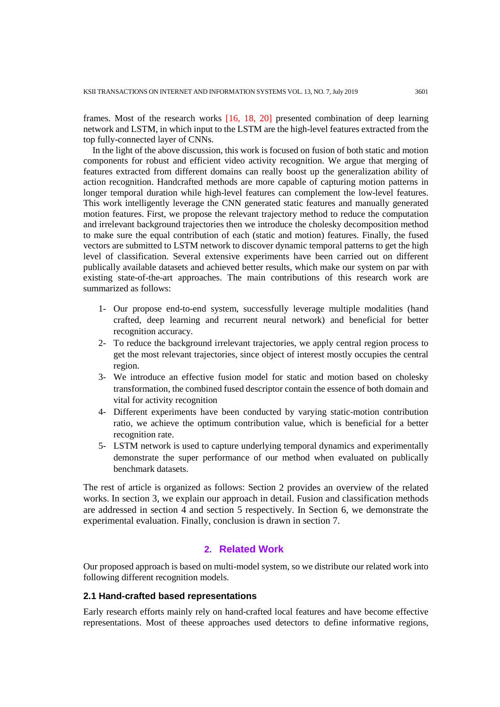frames. Most of the research works [16, 18, 20] presented combination of deep learning network and LSTM, in which input to the LSTM are the high-level features extracted from the top fully-connected layer of CNNs.

In the light of the above discussion, this work is focused on fusion of both static and motion components for robust and efficient video activity recognition. We argue that merging of features extracted from different domains can really boost up the generalization ability of action recognition. Handcrafted methods are more capable of capturing motion patterns in longer temporal duration while high-level features can complement the low-level features. This work intelligently leverage the CNN generated static features and manually generated motion features. First, we propose the relevant trajectory method to reduce the computation and irrelevant background trajectories then we introduce the cholesky decomposition method to make sure the equal contribution of each (static and motion) features. Finally, the fused vectors are submitted to LSTM network to discover dynamic temporal patterns to get the high level of classification. Several extensive experiments have been carried out on different publically available datasets and achieved better results, which make our system on par with existing state-of-the-art approaches. The main contributions of this research work are summarized as follows:

- 1- Our propose end-to-end system, successfully leverage multiple modalities (hand crafted, deep learning and recurrent neural network) and beneficial for better recognition accuracy.
- 2- To reduce the background irrelevant trajectories, we apply central region process to get the most relevant trajectories, since object of interest mostly occupies the central region.
- 3- We introduce an effective fusion model for static and motion based on cholesky transformation, the combined fused descriptor contain the essence of both domain and vital for activity recognition
- 4- Different experiments have been conducted by varying static-motion contribution ratio, we achieve the optimum contribution value, which is beneficial for a better recognition rate.
- 5- LSTM network is used to capture underlying temporal dynamics and experimentally demonstrate the super performance of our method when evaluated on publically benchmark datasets.

The rest of article is organized as follows: Section 2 provides an overview of the related works. In section 3, we explain our approach in detail. Fusion and classification methods are addressed in section 4 and section 5 respectively. In Section 6, we demonstrate the experimental evaluation. Finally, conclusion is drawn in section 7.

# **2. Related Work**

Our proposed approach is based on multi-model system, so we distribute our related work into following different recognition models.

# **2.1 Hand-crafted based representations**

Early research efforts mainly rely on hand-crafted local features and have become effective representations. Most of theese approaches used detectors to define informative regions,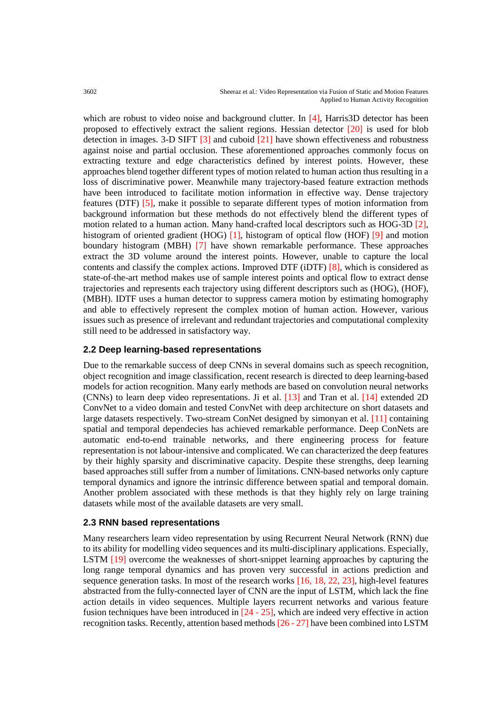which are robust to video noise and background clutter. In [4], Harris3D detector has been proposed to effectively extract the salient regions. Hessian detector  $[20]$  is used for blob detection in images. 3-D SIFT [3] and cuboid [21] have shown effectiveness and robustness against noise and partial occlusion. These aforementioned approaches commonly focus on extracting texture and edge characteristics defined by interest points. However, these approaches blend together different types of motion related to human action thus resulting in a loss of discriminative power. Meanwhile many trajectory-based feature extraction methods have been introduced to facilitate motion information in effective way. Dense trajectory features (DTF) [5], make it possible to separate different types of motion information from background information but these methods do not effectively blend the different types of motion related to a human action. Many hand-crafted local descriptors such as HOG-3D [2], histogram of oriented gradient (HOG) [1], histogram of optical flow (HOF) [9] and motion boundary histogram (MBH) [7] have shown remarkable performance. These approaches extract the 3D volume around the interest points. However, unable to capture the local contents and classify the complex actions. Improved DTF (iDTF) [8], which is considered as state-of-the-art method makes use of sample interest points and optical flow to extract dense trajectories and represents each trajectory using different descriptors such as (HOG), (HOF), (MBH). IDTF uses a human detector to suppress camera motion by estimating homography and able to effectively represent the complex motion of human action. However, various issues such as presence of irrelevant and redundant trajectories and computational complexity still need to be addressed in satisfactory way.

# **2.2 Deep learning-based representations**

Due to the remarkable success of deep CNNs in several domains such as speech recognition, object recognition and image classification, recent research is directed to deep learning-based models for action recognition. Many early methods are based on convolution neural networks (CNNs) to learn deep video representations. Ji et al. [13] and Tran et al. [14] extended 2D ConvNet to a video domain and tested ConvNet with deep architecture on short datasets and large datasets respectively. Two-stream ConNet designed by simonyan et al. [11] containing spatial and temporal dependecies has achieved remarkable performance. Deep ConNets are automatic end-to-end trainable networks, and there engineering process for feature representation is not labour-intensive and complicated. We can characterized the deep features by their highly sparsity and discriminative capacity. Despite these strengths, deep learning based approaches still suffer from a number of limitations. CNN-based networks only capture temporal dynamics and ignore the intrinsic difference between spatial and temporal domain. Another problem associated with these methods is that they highly rely on large training datasets while most of the available datasets are very small.

## **2.3 RNN based representations**

Many researchers learn video representation by using Recurrent Neural Network (RNN) due to its ability for modelling video sequences and its multi-disciplinary applications. Especially, LSTM [19] overcome the weaknesses of short-snippet learning approaches by capturing the long range temporal dynamics and has proven very successful in actions prediction and sequence generation tasks. In most of the research works [16, 18, 22, 23], high-level features abstracted from the fully-connected layer of CNN are the input of LSTM, which lack the fine action details in video sequences. Multiple layers recurrent networks and various feature fusion techniques have been introduced in  $[24 - 25]$ , which are indeed very effective in action recognition tasks. Recently, attention based methods [26 - 27] have been combined into LSTM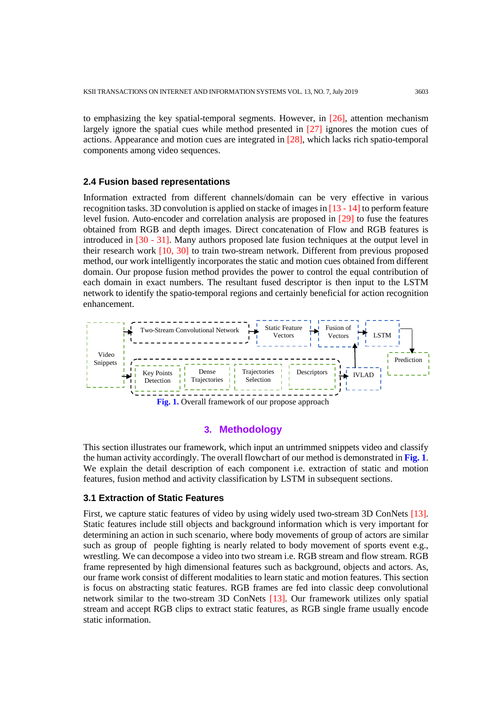to emphasizing the key spatial-temporal segments. However, in  $[26]$ , attention mechanism largely ignore the spatial cues while method presented in [27] ignores the motion cues of actions. Appearance and motion cues are integrated in [28], which lacks rich spatio-temporal components among video sequences.

#### **2.4 Fusion based representations**

Information extracted from different channels/domain can be very effective in various recognition tasks. 3D convolution is applied on stacke of images in [13 - 14] to perform feature level fusion. Auto-encoder and correlation analysis are proposed in [29] to fuse the features obtained from RGB and depth images. Direct concatenation of Flow and RGB features is introduced in [30 - 31]. Many authors proposed late fusion techniques at the output level in their research work [10, 30] to train two-stream network. Different from previous proposed method, our work intelligently incorporates the static and motion cues obtained from different domain. Our propose fusion method provides the power to control the equal contribution of each domain in exact numbers. The resultant fused descriptor is then input to the LSTM network to identify the spatio-temporal regions and certainly beneficial for action recognition enhancement.



## **3. Methodology**

This section illustrates our framework, which input an untrimmed snippets video and classify the human activity accordingly. The overall flowchart of our method is demonstrated in **Fig. 1**. We explain the detail description of each component i.e. extraction of static and motion features, fusion method and activity classification by LSTM in subsequent sections.

#### **3.1 Extraction of Static Features**

First, we capture static features of video by using widely used two-stream 3D ConNets [13]. Static features include still objects and background information which is very important for determining an action in such scenario, where body movements of group of actors are similar such as group of people fighting is nearly related to body movement of sports event e.g., wrestling. We can decompose a video into two stream i.e. RGB stream and flow stream. RGB frame represented by high dimensional features such as background, objects and actors. As, our frame work consist of different modalities to learn static and motion features. This section is focus on abstracting static features. RGB frames are fed into classic deep convolutional network similar to the two-stream 3D ConNets [13]. Our framework utilizes only spatial stream and accept RGB clips to extract static features, as RGB single frame usually encode static information.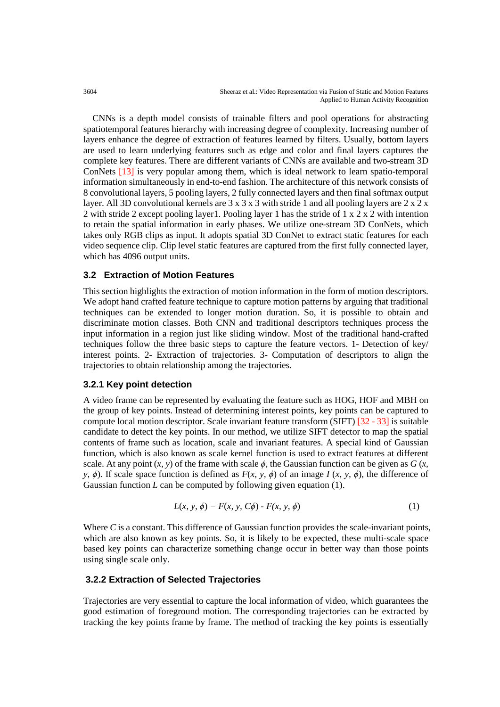CNNs is a depth model consists of trainable filters and pool operations for abstracting spatiotemporal features hierarchy with increasing degree of complexity. Increasing number of layers enhance the degree of extraction of features learned by filters. Usually, bottom layers are used to learn underlying features such as edge and color and final layers captures the complete key features. There are different variants of CNNs are available and two-stream 3D ConNets [13] is very popular among them, which is ideal network to learn spatio-temporal information simultaneously in end-to-end fashion. The architecture of this network consists of 8 convolutional layers, 5 pooling layers, 2 fully connected layers and then final softmax output layer. All 3D convolutional kernels are  $3 \times 3 \times 3$  with stride 1 and all pooling layers are  $2 \times 2 \times 2$ 2 with stride 2 except pooling layer1. Pooling layer 1 has the stride of 1 x 2 x 2 with intention to retain the spatial information in early phases. We utilize one-stream 3D ConNets, which takes only RGB clips as input. It adopts spatial 3D ConNet to extract static features for each video sequence clip. Clip level static features are captured from the first fully connected layer, which has 4096 output units.

# **3.2 Extraction of Motion Features**

This section highlights the extraction of motion information in the form of motion descriptors. We adopt hand crafted feature technique to capture motion patterns by arguing that traditional techniques can be extended to longer motion duration. So, it is possible to obtain and discriminate motion classes. Both CNN and traditional descriptors techniques process the input information in a region just like sliding window. Most of the traditional hand-crafted techniques follow the three basic steps to capture the feature vectors. 1- Detection of key/ interest points. 2- Extraction of trajectories. 3- Computation of descriptors to align the trajectories to obtain relationship among the trajectories.

# **3.2.1 Key point detection**

A video frame can be represented by evaluating the feature such as HOG, HOF and MBH on the group of key points. Instead of determining interest points, key points can be captured to compute local motion descriptor. Scale invariant feature transform (SIFT) [32 - 33] is suitable candidate to detect the key points. In our method, we utilize SIFT detector to map the spatial contents of frame such as location, scale and invariant features. A special kind of Gaussian function, which is also known as scale kernel function is used to extract features at different scale. At any point  $(x, y)$  of the frame with scale  $\phi$ , the Gaussian function can be given as  $G(x, y)$ *y,*  $\phi$ *)*. If scale space function is defined as  $F(x, y, \phi)$  of an image  $I(x, y, \phi)$ , the difference of Gaussian function *L* can be computed by following given equation (1).

$$
L(x, y, \phi) = F(x, y, C\phi) - F(x, y, \phi)
$$
 (1)

Where *C* is a constant. This difference of Gaussian function provides the scale-invariant points, which are also known as key points. So, it is likely to be expected, these multi-scale space based key points can characterize something change occur in better way than those points using single scale only.

# **3.2.2 Extraction of Selected Trajectories**

Trajectories are very essential to capture the local information of video, which guarantees the good estimation of foreground motion. The corresponding trajectories can be extracted by tracking the key points frame by frame. The method of tracking the key points is essentially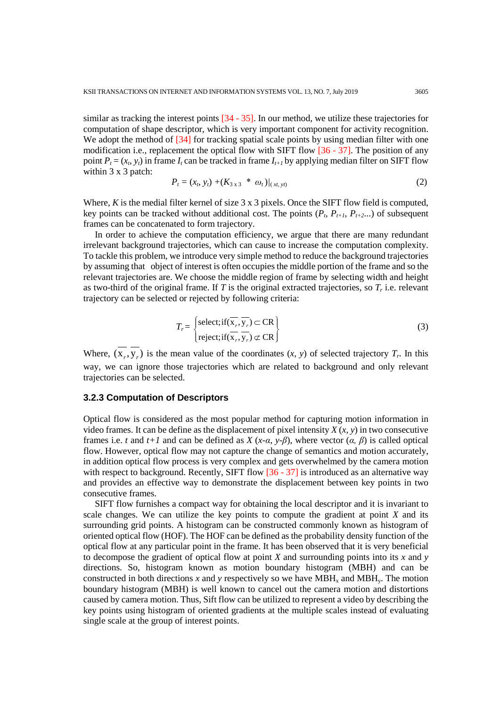similar as tracking the interest points [34 - 35]. In our method, we utilize these trajectories for computation of shape descriptor, which is very important component for activity recognition. We adopt the method of  $[34]$  for tracking spatial scale points by using median filter with one modification i.e., replacement the optical flow with SIFT flow  $[36 - 37]$ . The position of any point  $P_t = (x_t, y_t)$  in frame  $I_t$  can be tracked in frame  $I_{t+1}$  by applying median filter on SIFT flow within 3 x 3 patch:

$$
P_t = (x_b \, y_t) + (K_{3 \, x \, 3} \, * \, \omega_t) / (x_t, y_t) \tag{2}
$$

Where, *K* is the medial filter kernel of size 3 x 3 pixels. Once the SIFT flow field is computed, key points can be tracked without additional cost. The points  $(P_t, P_{t+1}, P_{t+2} ...)$  of subsequent frames can be concatenated to form trajectory.

 In order to achieve the computation efficiency, we argue that there are many redundant irrelevant background trajectories, which can cause to increase the computation complexity. To tackle this problem, we introduce very simple method to reduce the background trajectories by assuming that object of interest is often occupies the middle portion of the frame and so the relevant trajectories are. We choose the middle region of frame by selecting width and height as two-third of the original frame. If  $T$  is the original extracted trajectories, so  $T_r$  i.e. relevant trajectory can be selected or rejected by following criteria:

$$
T_r = \begin{cases} \text{select; if } (\overline{\mathbf{x}_r}, \overline{\mathbf{y}_r}) \subset \text{CR} \\ \text{reject; if } (\overline{\mathbf{x}_r}, \overline{\mathbf{y}_r}) \subset \text{CR} \end{cases}
$$
(3)

Where,  $(x_r, y_r)$  is the mean value of the coordinates  $(x, y)$  of selected trajectory  $T_r$ . In this way, we can ignore those trajectories which are related to background and only relevant trajectories can be selected.

#### **3.2.3 Computation of Descriptors**

Optical flow is considered as the most popular method for capturing motion information in video frames. It can be define as the displacement of pixel intensity *X* (*x, y*) in two consecutive frames i.e. *t* and  $t+1$  and can be defined as  $X(x-a, y-\beta)$ , where vector  $(a, \beta)$  is called optical flow. However, optical flow may not capture the change of semantics and motion accurately, in addition optical flow process is very complex and gets overwhelmed by the camera motion with respect to background. Recently, SIFT flow [36 - 37] is introduced as an alternative way and provides an effective way to demonstrate the displacement between key points in two consecutive frames.

 SIFT flow furnishes a compact way for obtaining the local descriptor and it is invariant to scale changes. We can utilize the key points to compute the gradient at point *X* and its surrounding grid points. A histogram can be constructed commonly known as histogram of oriented optical flow (HOF). The HOF can be defined as the probability density function of the optical flow at any particular point in the frame. It has been observed that it is very beneficial to decompose the gradient of optical flow at point *X* and surrounding points into its *x* and *y* directions. So, histogram known as motion boundary histogram (MBH) and can be constructed in both directions x and y respectively so we have  $MBH<sub>x</sub>$  and  $MBH<sub>y</sub>$ . The motion boundary histogram (MBH) is well known to cancel out the camera motion and distortions caused by camera motion. Thus, Sift flow can be utilized to represent a video by describing the key points using histogram of oriented gradients at the multiple scales instead of evaluating single scale at the group of interest points.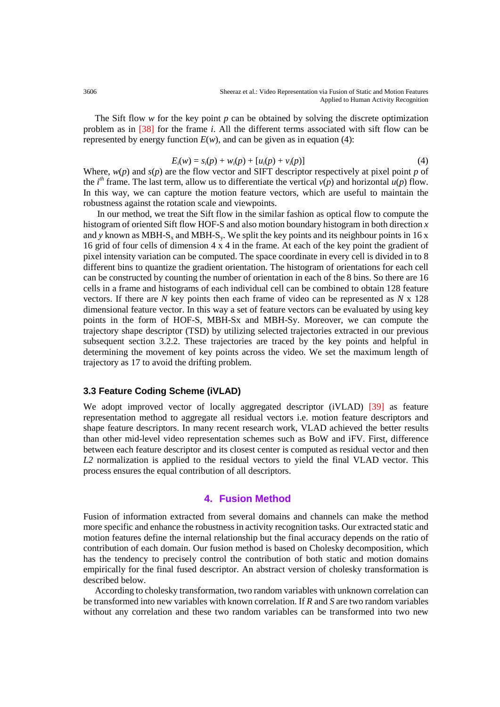The Sift flow *w* for the key point *p* can be obtained by solving the discrete optimization problem as in [38] for the frame *i*. All the different terms associated with sift flow can be represented by energy function  $E(w)$ , and can be given as in equation (4):

$$
E_i(w) = s_i(p) + w_i(p) + [u_i(p) + v_i(p)] \tag{4}
$$

Where, *w*(*p*) and *s*(*p*) are the flow vector and SIFT descriptor respectively at pixel point *p* of the *i*<sup>th</sup> frame. The last term, allow us to differentiate the vertical  $v(p)$  and horizontal  $u(p)$  flow. In this way, we can capture the motion feature vectors, which are useful to maintain the robustness against the rotation scale and viewpoints.

 In our method, we treat the Sift flow in the similar fashion as optical flow to compute the histogram of oriented Sift flow HOF-S and also motion boundary histogram in both direction *x* and y known as MBH-S<sub>x</sub> and MBH-S<sub>y</sub>. We split the key points and its neighbour points in 16 x 16 grid of four cells of dimension 4 x 4 in the frame. At each of the key point the gradient of pixel intensity variation can be computed. The space coordinate in every cell is divided in to 8 different bins to quantize the gradient orientation. The histogram of orientations for each cell can be constructed by counting the number of orientation in each of the 8 bins. So there are 16 cells in a frame and histograms of each individual cell can be combined to obtain 128 feature vectors. If there are *N* key points then each frame of video can be represented as *N* x 128 dimensional feature vector. In this way a set of feature vectors can be evaluated by using key points in the form of HOF-S, MBH-Sx and MBH-Sy. Moreover, we can compute the trajectory shape descriptor (TSD) by utilizing selected trajectories extracted in our previous subsequent section 3.2.2. These trajectories are traced by the key points and helpful in determining the movement of key points across the video. We set the maximum length of trajectory as 17 to avoid the drifting problem.

# **3.3 Feature Coding Scheme (iVLAD)**

We adopt improved vector of locally aggregated descriptor (iVLAD) [39] as feature representation method to aggregate all residual vectors i.e. motion feature descriptors and shape feature descriptors. In many recent research work, VLAD achieved the better results than other mid-level video representation schemes such as BoW and iFV. First, difference between each feature descriptor and its closest center is computed as residual vector and then *L2* normalization is applied to the residual vectors to yield the final VLAD vector. This process ensures the equal contribution of all descriptors.

# **4. Fusion Method**

Fusion of information extracted from several domains and channels can make the method more specific and enhance the robustness in activity recognition tasks. Our extracted static and motion features define the internal relationship but the final accuracy depends on the ratio of contribution of each domain. Our fusion method is based on Cholesky decomposition, which has the tendency to precisely control the contribution of both static and motion domains empirically for the final fused descriptor. An abstract version of cholesky transformation is described below.

 According to cholesky transformation, two random variables with unknown correlation can be transformed into new variables with known correlation. If *R* and *S* are two random variables without any correlation and these two random variables can be transformed into two new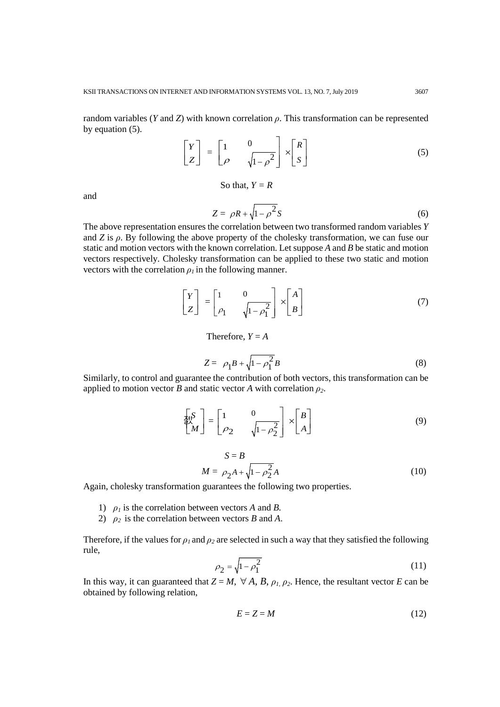random variables (*Y* and *Z*) with known correlation *ρ*. This transformation can be represented by equation (5).  $\overline{a}$ 

$$
\begin{bmatrix} Y \\ Z \end{bmatrix} = \begin{bmatrix} 1 & 0 \\ \rho & \sqrt{1 - \rho^2} \end{bmatrix} \times \begin{bmatrix} R \\ S \end{bmatrix}
$$
 (5)

So that,  $Y = R$ 

and

$$
Z = \rho R + \sqrt{1 - \rho^2} S \tag{6}
$$

The above representation ensures the correlation between two transformed random variables *Y* and  $Z$  is  $\rho$ . By following the above property of the cholesky transformation, we can fuse our static and motion vectors with the known correlation. Let suppose *A* and *B* be static and motion vectors respectively. Cholesky transformation can be applied to these two static and motion vectors with the correlation  $\rho_I$  in the following manner.

$$
\begin{bmatrix} Y \\ Z \end{bmatrix} = \begin{bmatrix} 1 & 0 \\ \rho_1 & \sqrt{1 - \rho_1^2} \end{bmatrix} \times \begin{bmatrix} A \\ B \end{bmatrix}
$$
 (7)

Therefore,  $Y = A$ 

$$
Z = \rho_1 B + \sqrt{1 - \rho_1^2} B \tag{8}
$$

Similarly, to control and guarantee the contribution of both vectors, this transformation can be applied to motion vector *B* and static vector *A* with correlation  $\rho_2$ .

$$
\begin{bmatrix} S \\ M \end{bmatrix} = \begin{bmatrix} 1 & 0 \\ \rho_2 & \sqrt{1 - \rho_2^2} \end{bmatrix} \times \begin{bmatrix} B \\ A \end{bmatrix}
$$
 (9)

$$
S = B
$$
  

$$
M = \rho_2 A + \sqrt{1 - \rho_2^2} A
$$
 (10)

Again, cholesky transformation guarantees the following two properties.

- 1)  $\rho_1$  is the correlation between vectors *A* and *B*.
- 2)  $\rho_2$  is the correlation between vectors *B* and *A*.

Therefore, if the values for  $\rho_1$  and  $\rho_2$  are selected in such a way that they satisfied the following rule,

$$
\rho_2 = \sqrt{1 - \rho_1^2} \tag{11}
$$

In this way, it can guaranteed that  $Z = M$ ,  $\forall A, B, \rho_1, \rho_2$ . Hence, the resultant vector *E* can be obtained by following relation,

$$
E = Z = M \tag{12}
$$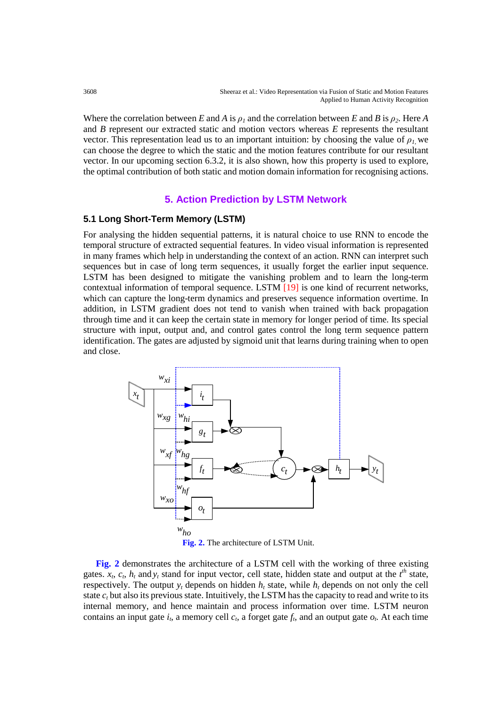Where the correlation between *E* and *A* is  $\rho_1$  and the correlation between *E* and *B* is  $\rho_2$ . Here *A* and *B* represent our extracted static and motion vectors whereas *E* represents the resultant vector. This representation lead us to an important intuition: by choosing the value of  $\rho_l$ , we can choose the degree to which the static and the motion features contribute for our resultant vector. In our upcoming section 6.3.2, it is also shown, how this property is used to explore, the optimal contribution of both static and motion domain information for recognising actions.

# **5. Action Prediction by LSTM Network**

## **5.1 Long Short-Term Memory (LSTM)**

For analysing the hidden sequential patterns, it is natural choice to use RNN to encode the temporal structure of extracted sequential features. In video visual information is represented in many frames which help in understanding the context of an action. RNN can interpret such sequences but in case of long term sequences, it usually forget the earlier input sequence. LSTM has been designed to mitigate the vanishing problem and to learn the long-term contextual information of temporal sequence. LSTM [19] is one kind of recurrent networks, which can capture the long-term dynamics and preserves sequence information overtime. In addition, in LSTM gradient does not tend to vanish when trained with back propagation through time and it can keep the certain state in memory for longer period of time. Its special structure with input, output and, and control gates control the long term sequence pattern identification. The gates are adjusted by sigmoid unit that learns during training when to open and close.



 **Fig. 2** demonstrates the architecture of a LSTM cell with the working of three existing gates.  $x_t$ ,  $c_t$ ,  $h_t$  and  $y_t$  stand for input vector, cell state, hidden state and output at the  $t<sup>th</sup>$  state, respectively. The output  $y_t$  depends on hidden  $h_t$  state, while  $h_t$  depends on not only the cell state  $c<sub>t</sub>$  but also its previous state. Intuitively, the LSTM has the capacity to read and write to its internal memory, and hence maintain and process information over time. LSTM neuron contains an input gate  $i_t$ , a memory cell  $c_t$ , a forget gate  $f_t$ , and an output gate  $o_t$ . At each time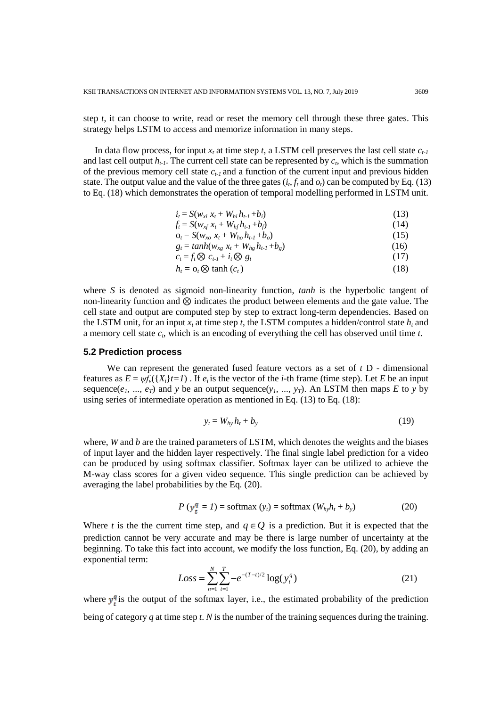step *t*, it can choose to write, read or reset the memory cell through these three gates. This strategy helps LSTM to access and memorize information in many steps.

In data flow process, for input  $x_t$  at time step  $t$ , a LSTM cell preserves the last cell state  $c_{t-1}$ and last cell output  $h_{t-1}$ . The current cell state can be represented by  $c_t$ , which is the summation of the previous memory cell state  $c_{t-1}$  and a function of the current input and previous hidden state. The output value and the value of the three gates  $(i_t, f_t \text{ and } o_t)$  can be computed by Eq. (13) to Eq. (18) which demonstrates the operation of temporal modelling performed in LSTM unit.

| $i_t = S(w_{xi} x_t + W_{hi} h_{t-1} + b_i)$  | (13) |
|-----------------------------------------------|------|
| $f_t = S(w_{rf} x_t + W_{hft} h_{t-1} + b_t)$ |      |

$$
Q_t = S(w_{xf} x_t + W_{hf} u_{t-1} + b_f)
$$
  
\n
$$
Q_t = S(w_{yn} x_t + W_{ho} h_{t-1} + b_o)
$$
 (15)

$$
g_t = \tanh(w_{xg} x_t + W_{hg} h_{t-1} + b_g) \tag{16}
$$

$$
c_t = f_t \otimes c_{t-1} + i_t \otimes g_t \tag{17}
$$

$$
h_t = o_t \otimes \tanh(c_t) \tag{18}
$$

where *S* is denoted as sigmoid non-linearity function, *tanh* is the hyperbolic tangent of non-linearity function and  $\otimes$  indicates the product between elements and the gate value. The cell state and output are computed step by step to extract long-term dependencies. Based on the LSTM unit, for an input  $x_t$  at time step *t*, the LSTM computes a hidden/control state  $h_t$  and a memory cell state *ct*, which is an encoding of everything the cell has observed until time *t.*

#### **5.2 Prediction process**

We can represent the generated fused feature vectors as a set of *t* D - dimensional features as  $E = \psi f_v({X_i}t=1)$ . If  $e_i$  is the vector of the *i*-th frame (time step). Let *E* be an input sequence( $e_1$ , ...,  $e_T$ ) and *y* be an output sequence( $y_1$ , ...,  $y_T$ ). An LSTM then maps *E* to *y* by using series of intermediate operation as mentioned in Eq. (13) to Eq. (18):

$$
y_t = W_{hy} h_t + b_y \tag{19}
$$

where, *W* and *b* are the trained parameters of LSTM, which denotes the weights and the biases of input layer and the hidden layer respectively. The final single label prediction for a video can be produced by using softmax classifier. Softmax layer can be utilized to achieve the M-way class scores for a given video sequence. This single prediction can be achieved by averaging the label probabilities by the Eq. (20).

$$
P(y_t^q = 1) = \text{softmax}(y_t) = \text{softmax}(W_{hy}h_t + b_y)
$$
 (20)

Where *t* is the the current time step, and  $q \in Q$  is a prediction. But it is expected that the prediction cannot be very accurate and may be there is large number of uncertainty at the beginning. To take this fact into account, we modify the loss function, Eq. (20), by adding an exponential term:

$$
Loss = \sum_{n=1}^{N} \sum_{t=1}^{T} -e^{-(T-t)/2} \log(y_t^q)
$$
 (21)

where  $y_i^q$  is the output of the softmax layer, i.e., the estimated probability of the prediction being of category *q* at time step *t*. *N* is the number of the training sequences during the training.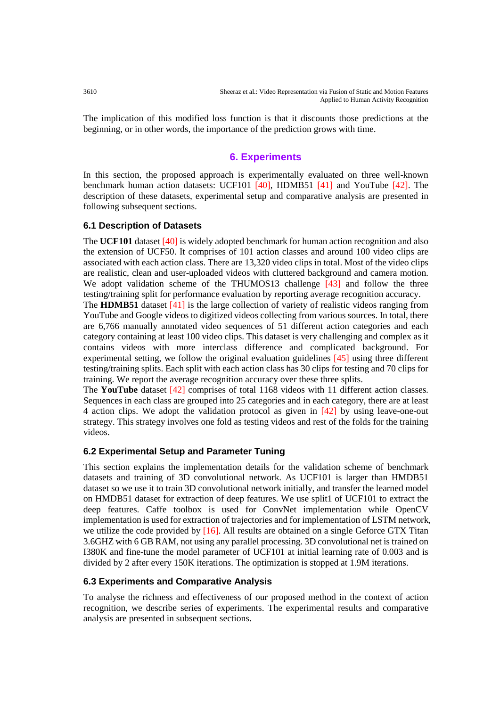The implication of this modified loss function is that it discounts those predictions at the beginning, or in other words, the importance of the prediction grows with time.

# **6. Experiments**

In this section, the proposed approach is experimentally evaluated on three well-known benchmark human action datasets: UCF101 [40], HDMB51 [41] and YouTube [42]. The description of these datasets, experimental setup and comparative analysis are presented in following subsequent sections.

## **6.1 Description of Datasets**

The **UCF101** dataset [40] is widely adopted benchmark for human action recognition and also the extension of UCF50. It comprises of 101 action classes and around 100 video clips are associated with each action class. There are 13,320 video clips in total. Most of the video clips are realistic, clean and user-uploaded videos with cluttered background and camera motion. We adopt validation scheme of the THUMOS13 challenge [43] and follow the three testing/training split for performance evaluation by reporting average recognition accuracy.

The **HDMB51** dataset [41] is the large collection of variety of realistic videos ranging from YouTube and Google videos to digitized videos collecting from various sources. In total, there are 6,766 manually annotated video sequences of 51 different action categories and each category containing at least 100 video clips. This dataset is very challenging and complex as it contains videos with more interclass difference and complicated background. For experimental setting, we follow the original evaluation guidelines [45] using three different testing/training splits. Each split with each action class has 30 clips for testing and 70 clips for training. We report the average recognition accuracy over these three splits.

The **YouTube** dataset [42] comprises of total 1168 videos with 11 different action classes. Sequences in each class are grouped into 25 categories and in each category, there are at least 4 action clips. We adopt the validation protocol as given in [42] by using leave-one-out strategy. This strategy involves one fold as testing videos and rest of the folds for the training videos.

# **6.2 Experimental Setup and Parameter Tuning**

This section explains the implementation details for the validation scheme of benchmark datasets and training of 3D convolutional network. As UCF101 is larger than HMDB51 dataset so we use it to train 3D convolutional network initially, and transfer the learned model on HMDB51 dataset for extraction of deep features. We use split1 of UCF101 to extract the deep features. Caffe toolbox is used for ConvNet implementation while OpenCV implementation is used for extraction of trajectories and for implementation of LSTM network, we utilize the code provided by [16]. All results are obtained on a single Geforce GTX Titan 3.6GHZ with 6 GB RAM, not using any parallel processing. 3D convolutional net is trained on I380K and fine-tune the model parameter of UCF101 at initial learning rate of 0.003 and is divided by 2 after every 150K iterations. The optimization is stopped at 1.9M iterations.

#### **6.3 Experiments and Comparative Analysis**

To analyse the richness and effectiveness of our proposed method in the context of action recognition, we describe series of experiments. The experimental results and comparative analysis are presented in subsequent sections.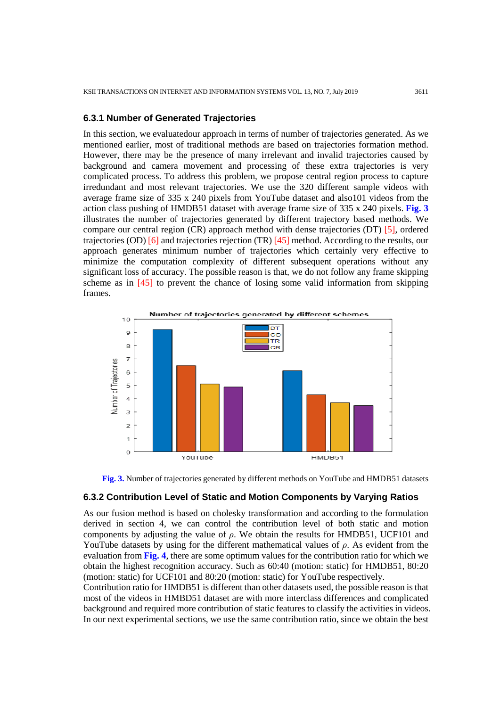#### **6.3.1 Number of Generated Trajectories**

In this section, we evaluatedour approach in terms of number of trajectories generated. As we mentioned earlier, most of traditional methods are based on trajectories formation method. However, there may be the presence of many irrelevant and invalid trajectories caused by background and camera movement and processing of these extra trajectories is very complicated process. To address this problem, we propose central region process to capture irredundant and most relevant trajectories. We use the 320 different sample videos with average frame size of 335 x 240 pixels from YouTube dataset and also101 videos from the action class pushing of HMDB51 dataset with average frame size of 335 x 240 pixels. **Fig. 3** illustrates the number of trajectories generated by different trajectory based methods. We compare our central region (CR) approach method with dense trajectories (DT) [5], ordered trajectories (OD) [6] and trajectories rejection (TR) [45] method. According to the results, our approach generates minimum number of trajectories which certainly very effective to minimize the computation complexity of different subsequent operations without any significant loss of accuracy. The possible reason is that, we do not follow any frame skipping scheme as in [45] to prevent the chance of losing some valid information from skipping frames.





#### **6.3.2 Contribution Level of Static and Motion Components by Varying Ratios**

As our fusion method is based on cholesky transformation and according to the formulation derived in section 4, we can control the contribution level of both static and motion components by adjusting the value of *ρ*. We obtain the results for HMDB51, UCF101 and YouTube datasets by using for the different mathematical values of *ρ*. As evident from the evaluation from **Fig. 4**, there are some optimum values for the contribution ratio for which we obtain the highest recognition accuracy. Such as 60:40 (motion: static) for HMDB51, 80:20 (motion: static) for UCF101 and 80:20 (motion: static) for YouTube respectively.

Contribution ratio for HMDB51 is different than other datasets used, the possible reason is that most of the videos in HMBD51 dataset are with more interclass differences and complicated background and required more contribution of static features to classify the activities in videos. In our next experimental sections, we use the same contribution ratio, since we obtain the best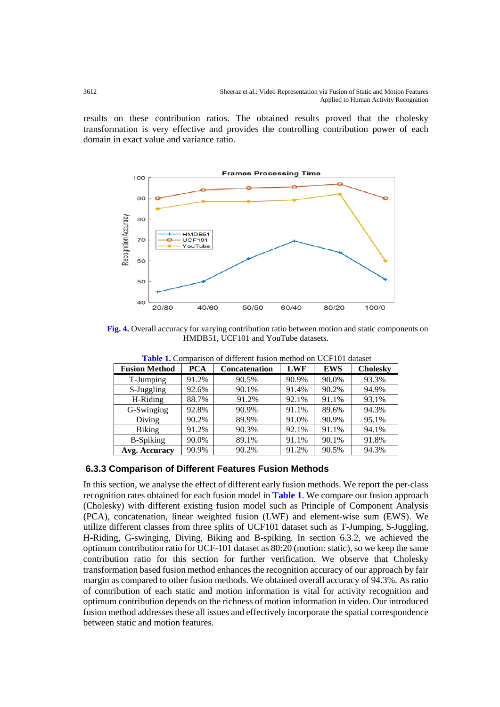results on these contribution ratios. The obtained results proved that the cholesky transformation is very effective and provides the controlling contribution power of each domain in exact value and variance ratio.



**Fig. 4.** Overall accuracy for varying contribution ratio between motion and static components on HMDB51, UCF101 and YouTube datasets.

| <b>Table 1.</b> Combarison of unferent rasion method on OCI TOT dataset |            |                      |            |            |                 |  |
|-------------------------------------------------------------------------|------------|----------------------|------------|------------|-----------------|--|
| <b>Fusion Method</b>                                                    | <b>PCA</b> | <b>Concatenation</b> | <b>LWF</b> | <b>EWS</b> | <b>Cholesky</b> |  |
| T-Jumping                                                               | 91.2%      | 90.5%                | 90.9%      | 90.0%      | 93.3%           |  |
| S-Juggling                                                              | 92.6%      | 90.1%                | 91.4%      | 90.2%      | 94.9%           |  |
| H-Riding                                                                | 88.7%      | 91.2%                | 92.1%      | 91.1%      | 93.1%           |  |
| G-Swinging                                                              | 92.8%      | 90.9%                | 91.1%      | 89.6%      | 94.3%           |  |
| Diving                                                                  | 90.2%      | 89.9%                | 91.0%      | 90.9%      | 95.1%           |  |
| <b>Biking</b>                                                           | 91.2%      | 90.3%                | 92.1%      | 91.1%      | 94.1%           |  |
| <b>B-Spiking</b>                                                        | 90.0%      | 89.1%                | 91.1%      | 90.1%      | 91.8%           |  |
| Avg. Accuracy                                                           | 90.9%      | 90.2%                | 91.2%      | 90.5%      | 94.3%           |  |

 **Table 1.** Comparison of different fusion method on UCF101 dataset

# **6.3.3 Comparison of Different Features Fusion Methods**

In this section, we analyse the effect of different early fusion methods. We report the per-class recognition rates obtained for each fusion model in **Table 1**. We compare our fusion approach (Cholesky) with different existing fusion model such as Principle of Component Analysis (PCA), concatenation, linear weighted fusion (LWF) and element-wise sum (EWS). We utilize different classes from three splits of UCF101 dataset such as T-Jumping, S-Juggling, H-Riding, G-swinging, Diving, Biking and B-spiking. In section 6.3.2, we achieved the optimum contribution ratio for UCF-101 dataset as 80:20 (motion: static), so we keep the same contribution ratio for this section for further verification. We observe that Cholesky transformation based fusion method enhances the recognition accuracy of our approach by fair margin as compared to other fusion methods. We obtained overall accuracy of 94.3%. As ratio of contribution of each static and motion information is vital for activity recognition and optimum contribution depends on the richness of motion information in video. Our introduced fusion method addresses these all issues and effectively incorporate the spatial correspondence between static and motion features.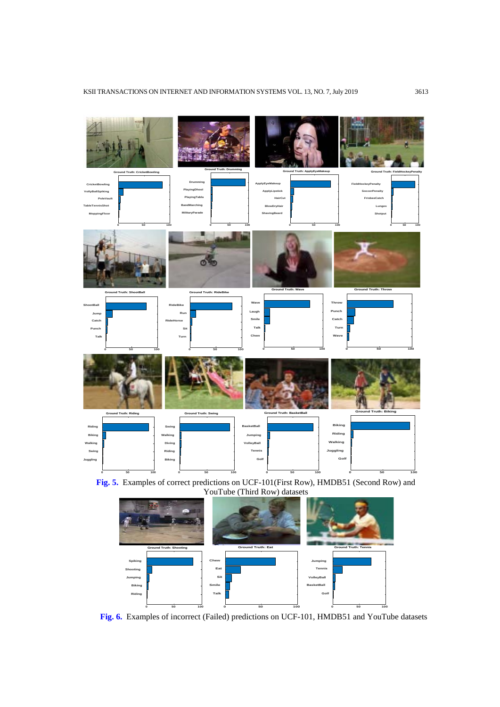

**Fig. 5.** Examples of correct predictions on UCF-101(First Row), HMDB51 (Second Row) and YouTube (Third Row) datasets



 **Fig. 6.** Examples of incorrect (Failed) predictions on UCF-101, HMDB51 and YouTube datasets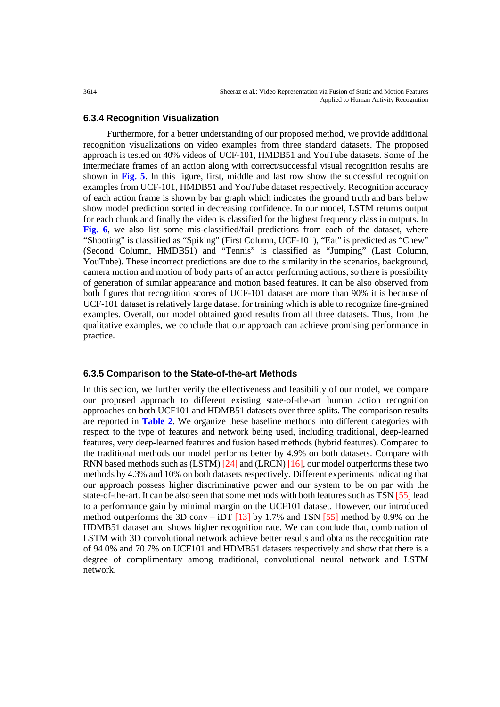## **6.3.4 Recognition Visualization**

Furthermore, for a better understanding of our proposed method, we provide additional recognition visualizations on video examples from three standard datasets. The proposed approach is tested on 40% videos of UCF-101, HMDB51 and YouTube datasets. Some of the intermediate frames of an action along with correct/successful visual recognition results are shown in **Fig. 5**. In this figure, first, middle and last row show the successful recognition examples from UCF-101, HMDB51 and YouTube dataset respectively. Recognition accuracy of each action frame is shown by bar graph which indicates the ground truth and bars below show model prediction sorted in decreasing confidence. In our model, LSTM returns output for each chunk and finally the video is classified for the highest frequency class in outputs. In **Fig. 6**, we also list some mis-classified/fail predictions from each of the dataset, where "Shooting" is classified as "Spiking" (First Column, UCF-101), "Eat" is predicted as "Chew" (Second Column, HMDB51) and "Tennis" is classified as "Jumping" (Last Column, YouTube). These incorrect predictions are due to the similarity in the scenarios, background, camera motion and motion of body parts of an actor performing actions, so there is possibility of generation of similar appearance and motion based features. It can be also observed from both figures that recognition scores of UCF-101 dataset are more than 90% it is because of UCF-101 dataset is relatively large dataset for training which is able to recognize fine-grained examples. Overall, our model obtained good results from all three datasets. Thus, from the qualitative examples, we conclude that our approach can achieve promising performance in practice.

## **6.3.5 Comparison to the State-of-the-art Methods**

In this section, we further verify the effectiveness and feasibility of our model, we compare our proposed approach to different existing state-of-the-art human action recognition approaches on both UCF101 and HDMB51 datasets over three splits. The comparison results are reported in **Table 2**. We organize these baseline methods into different categories with respect to the type of features and network being used, including traditional, deep-learned features, very deep-learned features and fusion based methods (hybrid features). Compared to the traditional methods our model performs better by 4.9% on both datasets. Compare with RNN based methods such as (LSTM) [24] and (LRCN) [16], our model outperforms these two methods by 4.3% and 10% on both datasets respectively. Different experiments indicating that our approach possess higher discriminative power and our system to be on par with the state-of-the-art. It can be also seen that some methods with both features such as TSN [55] lead to a performance gain by minimal margin on the UCF101 dataset. However, our introduced method outperforms the 3D conv – iDT  $[13]$  by 1.7% and TSN  $[55]$  method by 0.9% on the HDMB51 dataset and shows higher recognition rate. We can conclude that, combination of LSTM with 3D convolutional network achieve better results and obtains the recognition rate of 94.0% and 70.7% on UCF101 and HDMB51 datasets respectively and show that there is a degree of complimentary among traditional, convolutional neural network and LSTM network.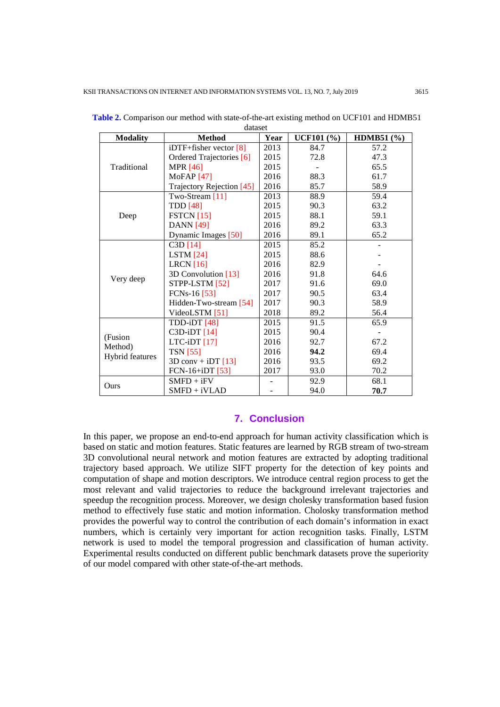| <b>Modality</b>                                                                                                                   | <b>Method</b>                | Year | <b>UCF101</b> (%) | <b>HDMB51</b> (%) |
|-----------------------------------------------------------------------------------------------------------------------------------|------------------------------|------|-------------------|-------------------|
| Traditional                                                                                                                       | iDTF+fisher vector [8]       | 2013 | 84.7              | 57.2              |
|                                                                                                                                   | Ordered Trajectories [6]     | 2015 | 72.8              | 47.3              |
|                                                                                                                                   | <b>MPR</b> [46]              | 2015 |                   | 65.5              |
|                                                                                                                                   | <b>MoFAP</b> [47]            | 2016 | 88.3              | 61.7              |
|                                                                                                                                   | Trajectory Rejection [45]    | 2016 | 85.7              | 58.9              |
|                                                                                                                                   | Two-Stream [11]              | 2013 | 88.9              | 59.4              |
|                                                                                                                                   | <b>TDD</b> [48]              | 2015 | 90.3              | 63.2              |
| Deep                                                                                                                              | $FSTCN$ [15]                 | 2015 | 88.1              | 59.1              |
|                                                                                                                                   | <b>DANN</b> [49]             | 2016 | 89.2              | 63.3              |
|                                                                                                                                   | Dynamic Images [50]          | 2016 | 89.1              | 65.2              |
| $C3D$ [14]<br>LSTM $[24]$<br>LRCN $[16]$<br>Very deep<br>STPP-LSTM [52]<br>FCN <sub>s</sub> -16 <sup>[53]</sup><br>VideoLSTM [51] |                              | 2015 | 85.2              |                   |
|                                                                                                                                   |                              | 2015 | 88.6              |                   |
|                                                                                                                                   |                              | 2016 | 82.9              |                   |
|                                                                                                                                   | 3D Convolution [13]          | 2016 | 91.8              | 64.6              |
|                                                                                                                                   |                              | 2017 | 91.6              | 69.0              |
|                                                                                                                                   |                              | 2017 | 90.5              | 63.4              |
|                                                                                                                                   | Hidden-Two-stream [54]       | 2017 | 90.3              | 58.9              |
|                                                                                                                                   |                              | 2018 | 89.2              | 56.4              |
| (Fusion<br>Method)<br>Hybrid features                                                                                             | TDD-iDT [48]                 | 2015 | 91.5              | 65.9              |
|                                                                                                                                   | $C3D-iDT[14]$                | 2015 | 90.4              |                   |
|                                                                                                                                   | LTC-iDT [17]                 | 2016 | 92.7              | 67.2              |
|                                                                                                                                   | <b>TSN</b> [55]              | 2016 | 94.2              | 69.4              |
|                                                                                                                                   | $3D \text{ conv} + iDT$ [13] | 2016 | 93.5              | 69.2              |
|                                                                                                                                   | FCN-16+iDT [53]              | 2017 | 93.0              | 70.2              |
| Ours                                                                                                                              | $SMFD + iFV$                 |      | 92.9              | 68.1              |
|                                                                                                                                   | $SMFD + iVLAD$               |      | 94.0              | 70.7              |

**Table 2.** Comparison our method with state-of-the-art existing method on UCF101 and HDMB51 dataset

# **7. Conclusion**

In this paper, we propose an end-to-end approach for human activity classification which is based on static and motion features. Static features are learned by RGB stream of two-stream 3D convolutional neural network and motion features are extracted by adopting traditional trajectory based approach. We utilize SIFT property for the detection of key points and computation of shape and motion descriptors. We introduce central region process to get the most relevant and valid trajectories to reduce the background irrelevant trajectories and speedup the recognition process. Moreover, we design cholesky transformation based fusion method to effectively fuse static and motion information. Cholosky transformation method provides the powerful way to control the contribution of each domain's information in exact numbers, which is certainly very important for action recognition tasks. Finally, LSTM network is used to model the temporal progression and classification of human activity. Experimental results conducted on different public benchmark datasets prove the superiority of our model compared with other state-of-the-art methods.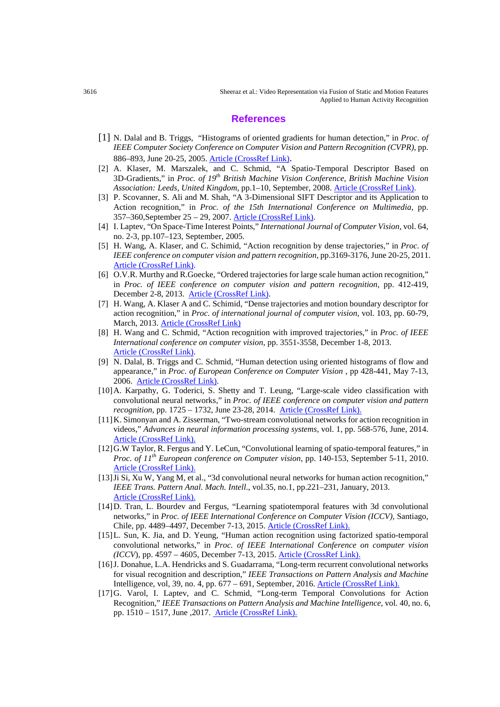#### **References**

- [1] N. Dalal and B. Triggs, "Histograms of oriented gradients for human detection," in *Proc. of IEEE Computer Society Conference on Computer Vision and Pattern Recognition (CVPR)*, pp. 886–893, June 20-25, 2005[. Article \(CrossRef Link\).](https://dx.doi.org/doi:10.1109/CVPR.2005.177)
- [2] A. Klaser, M. Marszalek, and C. Schmid, "A Spatio-Temporal Descriptor Based on 3D-Gradients," in *Proc. of 19th British Machine Vision Conference, British Machine Vision Association: Leeds, United Kingdom*, pp.1–10, September, 2008[. Article \(CrossRef Link\).](https://dx.doi.org/doi:10.5244/C.22.99)
- [3] P. Scovanner, S. Ali and M. Shah, "A 3-Dimensional SIFT Descriptor and its Application to Action recognition," in *Proc. of the 15th International Conference on Multimedia*, pp. 357–360,September 25 – 29, 2007. [Article \(CrossRef Link\).](https://doi.org/10.1145/1291233.1291311)
- [4] I. Laptev, "On Space-Time Interest Points," *International Journal of Computer Vision*, vol. 64, no. 2-3, pp.107–123, September, 2005.
- [5] H. Wang, A. Klaser, and C. Schimid, "Action recognition by dense trajectories," in *Proc. of IEEE conference on computer vision and pattern recognition*, pp.3169-3176, June 20-25, 2011. [Article \(CrossRef Link\).](https://dx.doi.org/doi:10.1109/CVPR.2011.5995407)
- [6] O.V.R. Murthy and R.Goecke, "Ordered trajectories for large scale human action recognition," in *Proc. of IEEE conference on computer vision and pattern recognition*, pp. 412-419, December 2-8, 2013. [Article \(CrossRef Link\).](https://dx.doi.org/doi:10.1109/ICCVW.2013.61)
- [7] H. Wang, A. Klaser A and C. Schimid, "Dense trajectories and motion boundary descriptor for action recognition," in *Proc. of international journal of computer vision*, vol. 103, pp. 60-79, March, 2013. [Article \(CrossRef Link\)](https://dx.doi.org/doi:10.1007/s11263-012-0594-8)
- [8] H. Wang and C. Schmid, "Action recognition with improved trajectories," in *Proc. of IEEE International conference on computer vision*, pp. 3551-3558, December 1-8, 2013. [Article \(CrossRef Link\).](https://dx.doi.org/doi:10.1109/ICCV.2013.441)
- [9] N. Dalal, B. Triggs and C. Schmid, "Human detection using oriented histograms of flow and appearance," in *Proc. of European Conference on Computer Vision* , pp 428-441, May 7-13, 2006. [Article \(CrossRef Link\).](https://dx.doi.org/doi:10.1007/11744047_33)
- [10]A. Karpathy, G. Toderici, S. Shetty and T. Leung, "Large-scale video classification with convolutional neural networks," in *Proc. of IEEE conference on computer vision and pattern recognition*, pp. 1725 – 1732, June 23-28, 2014. [Article \(CrossRef Link\).](https://dx.doi.org/doi:10.1109/CVPR.2014.223)
- [11]K. Simonyan and A. Zisserman, "Two-stream convolutional networks for action recognition in videos," *Advances in neural information processing systems*, vol. 1, pp. 568-576, June, 2014. [Article \(CrossRef Link\).](https://arxiv.org/abs/1406.2199v2)
- [12]G.W Taylor, R. Fergus and Y. LeCun, "Convolutional learning of spatio-temporal features," in *Proc. of 11th European conference on Computer vision*, pp. 140-153, September 5-11, 2010.
- [Article \(CrossRef Link\).](https://dx.doi.org/doi:10.1007/978-3-642-15567-3_11) [13]Ji Si, Xu W, Yang M, et al., "3d convolutional neural networks for human action recognition," *IEEE Trans. Pattern Anal. Mach. Intell*., vol.35, no.1, pp.221–231, January, 2013. [Article \(CrossRef Link\).](https://dx.doi.org/doi:10.1109/tpami.2012.59)
- [14]D. Tran, L. Bourdev and Fergus, "Learning spatiotemporal features with 3d convolutional networks," in *Proc. of IEEE International Conference on Computer Vision (ICCV),* Santiago, Chile, pp. 4489–4497, December 7-13, 2015. [Article \(CrossRef Link\).](https://dx.doi.org/doi:10.1109/ICCV.2015.510)
- [15]L. Sun, K. Jia, and D. Yeung, "Human action recognition using factorized spatio-temporal convolutional networks," in *Proc. of IEEE International Conference on computer vision (ICCV*), pp. 4597 – 4605, December 7-13, 2015. [Article \(CrossRef Link\).](https://dx.doi.org/doi:10.1109/ICCV.2015.522)
- [16]J. Donahue, L.A. Hendricks and S. Guadarrama, "Long-term recurrent convolutional networks for visual recognition and description," *IEEE Transactions on Pattern Analysis and Machine*  Intelligence, vol, 39, no. 4, pp. 677 – 691, September, 2016. [Article \(CrossRef Link\).](https://dx.doi.org/doi:10.1109/TPAMI.2016.2599174)
- [17]G. Varol, I. Laptev, and C. Schmid, "Long-term Temporal Convolutions for Action Recognition," *IEEE Transactions on Pattern Analysis and Machine Intelligence*, vol. 40, no. 6, pp. 1510 – 1517, June ,2017. [Article \(CrossRef Link\).](https://doi.org/10.1109/TPAMI.2017.2712608)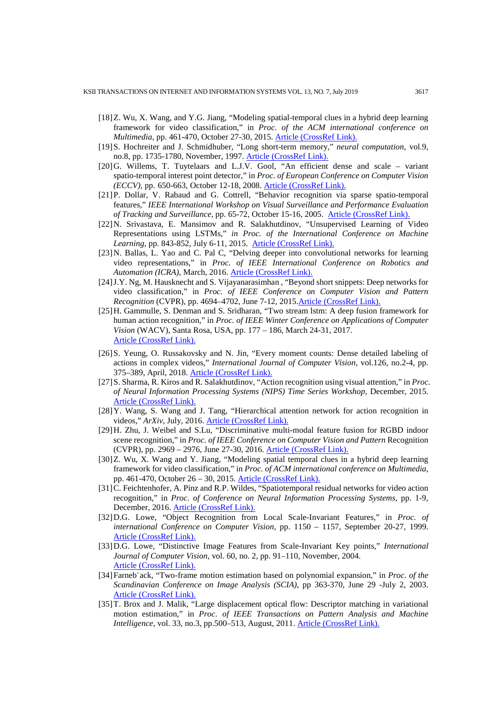- [18]Z. Wu, X. Wang, and Y.G. Jiang, "Modeling spatial-temporal clues in a hybrid deep learning framework for video classification," in *Proc. of the ACM international conference on Multimedia*, pp. 461-470, October 27-30, 2015. [Article \(CrossRef Link\).](https://dx.doi.org/doi:10.1145/2733373.2806222)
- [19]S. Hochreiter and J. Schmidhuber, "Long short-term memory," *neural computation*, vol.9, no.8, pp. 1735-1780, November, 1997. [Article \(CrossRef Link\).](http://dx.doi.org/doi:10.1162/neco.1997.9.8.1735)
- [20]G. Willems, T. Tuytelaars and L.J.V. Gool, "An efficient dense and scale variant spatio-temporal interest point detector," in *Proc. of European Conference on Computer Vision (ECCV)*, pp. 650-663, October 12-18, 2008. [Article \(CrossRef Link\).](https://dx.doi.org/doi:10.1007/978-3-540-88688-4_48)
- [21]P. Dollar, V. Rabaud and G. Cottrell, "Behavior recognition via sparse spatio-temporal features," *IEEE International Workshop on Visual Surveillance and Performance Evaluation of Tracking and Surveillance*, pp. 65-72, October 15-16, 2005. [Article \(CrossRef Link\).](https://dx.doi.org/doi:10.1109/VSPETS.2005.1570899)
- [22]N. Srivastava, E. Mansimov and R. Salakhutdinov, "Unsupervised Learning of Video Representations using LSTMs," *in Proc. of the International Conference on Machine Learning*, pp. 843-852, July 6-11, 2015. [Article \(CrossRef Link\).](https://dl.acm.org/citation.cfm?id=3045209)
- [23]N. Ballas, L. Yao and C. Pal C, "Delving deeper into convolutional networks for learning video representations," in *Proc. of IEEE International Conference on Robotics and*  Automation (ICRA), March, 2016. **[Article \(CrossRef Link\).](https://arxiv.org/pdf/1511.06432v4.pdf)**
- [24]J.Y. Ng, M. Hausknecht and S. Vijayanarasimhan , "Beyond short snippets: Deep networks for video classification," in *Proc. of IEEE Conference on Computer Vision and Pattern Recognition* (CVPR), pp. 4694–4702, June 7-12, 2015[.Article \(CrossRef Link\).](https://dx.doi.org/doi:10.1109/CVPR.2015.7299101)
- [25]H. Gammulle, S. Denman and S. Sridharan, "Two stream lstm: A deep fusion framework for human action recognition," in *Proc. of IEEE Winter Conference on Applications of Computer Vision* (WACV), Santa Rosa, USA, pp. 177 – 186, March 24-31, 2017. [Article \(CrossRef](https://dx.doi.org/doi:10.1109/WACV.2017.27) Link).
- [26]S. Yeung, O. Russakovsky and N. Jin, "Every moment counts: Dense detailed labeling of actions in complex videos," *International Journal of Computer Vision*, vol.126, no.2-4, pp. 375–389, April, 2018. [Article \(CrossRef Link\).](https://dx.doi.org/doi:10.1007/s11263-017-1013-y)
- [27]S. Sharma, R. Kiros and R. Salakhutdinov, "Action recognition using visual attention," in *Proc. of Neural Information Processing Systems (NIPS) Time Series Workshop*, December, 2015. [Article \(CrossRef Link\).](https://www.researchgate.net/publication/320386397_Action_Recognition_using_Visual_Attention)
- [28]Y. Wang, S. Wang and J. Tang, "Hierarchical attention network for action recognition in videos," ArXiv, July, 2016. **[Article \(CrossRef Link\).](https://www.researchgate.net/publication/305492472_Hierarchical_Attention_Network_for_Action_Recognition_in_Videos)**
- [29]H. Zhu, J. Weibel and S.Lu, "Discriminative multi-modal feature fusion for RGBD indoor scene recognition," in *Proc. of IEEE Conference on Computer Vision and Pattern* Recognition (CVPR), pp. 2969 – 2976, June 27-30, 2016. [Article \(CrossRef Link\).](https://dx.doi.org/doi:10.1109/CVPR.2016.324)
- [30]Z. Wu, X. Wang and Y. Jiang, "Modeling spatial temporal clues in a hybrid deep learning framework for video classification," in *Proc. of ACM international conference on Multimedia*, pp. 461-470, October 26 – 30, 2015. [Article \(CrossRef Link\).](https://dx.doi.org/doi:10.1145/2733373.2806222)
- [31]C. Feichtenhofer, A. Pinz and R.P. Wildes, "Spatiotemporal residual networks for video action recognition," in *Proc. of Conference on Neural Information Processing Systems*, pp. 1-9, December, 2016. [Article \(CrossRef Link\).](https://arxiv.org/abs/1611.02155v1)
- [32]D.G. Lowe, "Object Recognition from Local Scale-Invariant Features," in *Proc. of international Conference on Computer Vision*, pp. 1150 – 1157, September 20-27, 1999. [Article \(CrossRef Link\).](https://dx.doi.org/doi:10.1109/ICCV.1999.790410)
- [33]D.G. Lowe, "Distinctive Image Features from Scale-Invariant Key points," *International Journal of Computer Vision*, vol. 60, no. 2, pp. 91–110, November, 2004. [Article \(CrossRef Link\).](https://dx.doi.org/doi:10.1023/b:visi.0000029664.99615.94)
- [34]Farneb¨ack, "Two-frame motion estimation based on polynomial expansion," in *Proc. of the Scandinavian Conference on Image Analysis (SCIA)*, pp 363-370, June 29 -July 2, 2003. [Article \(CrossRef Link\).](https://dx.doi.org/doi:10.1007/3-540-45103-X_50)
- [35]T. Brox and J. Malik, "Large displacement optical flow: Descriptor matching in variational motion estimation," in *Proc. of IEEE Transactions on Pattern Analysis and Machine Intelligence*, vol. 33, no.3, pp.500–513, August, 2011. [Article \(CrossRef Link\).](https://dx.doi.org/doi:10.1109/TPAMI.2010.143)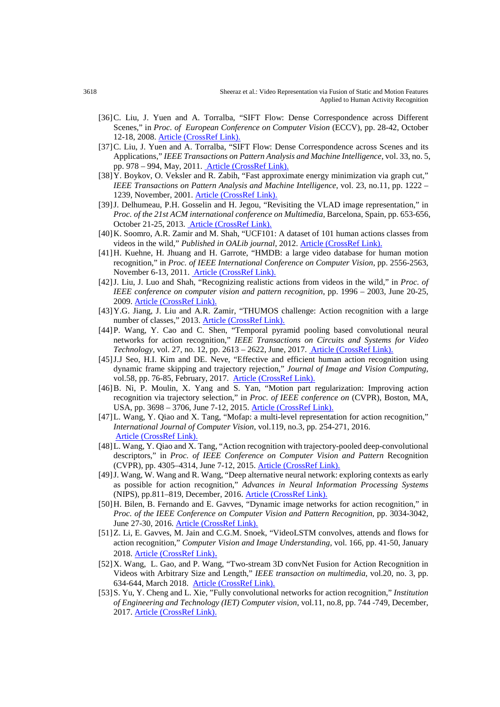- [36]C. Liu, J. Yuen and A. Torralba, "SIFT Flow: Dense Correspondence across Different Scenes," in *Proc. of European Conference on Computer Vision* (ECCV), pp. 28-42, October 12-18, 2008. [Article \(CrossRef Link\).](https://dx.doi.org/doi:10.1007/978-3-540-88690-7_3)
- [37] C. Liu, J. Yuen and A. Torralba, "SIFT Flow: Dense Correspondence across Scenes and its Applications," *IEEE Transactions on Pattern Analysis and Machine Intelligence*, vol. 33, no. 5, pp. 978 – 994, May, 2011. [Article \(CrossRef Link\).](https://dx.doi.org/doi:10.1109/TPAMI.2010.147)
- [38]Y. Boykov, O. Veksler and R. Zabih, "Fast approximate energy minimization via graph cut," *IEEE Transactions on Pattern Analysis and Machine Intelligence*, vol. 23, no.11, pp. 1222 – 1239, November, 2001. [Article \(CrossRef Link\).](https://dx.doi.org/doi:10.1109/34.969114)
- [39]J. Delhumeau, P.H. Gosselin and H. Jegou, "Revisiting the VLAD image representation," in *Proc. of the 21st ACM international conference on Multimedia*, Barcelona, Spain, pp. 653-656, October 21-25, 2013. [Article \(CrossRef Link\).](https://dx.doi.org/doi:10.1145/2502081.2502171)
- [40]K. Soomro, A.R. Zamir and M. Shah, "UCF101: A dataset of 101 human actions classes from videos in the wild," *Published in OALib journal*, 2012. **Article (CrossRef Link)**.
- [41]H. Kuehne, H. Jhuang and H. Garrote, "HMDB: a large video database for human motion recognition," in *Proc. of IEEE International Conference on Computer Vision*, pp. 2556-2563, November 6-13, 2011. [Article \(CrossRef Link\).](https://dx.doi.org/doi:10.1109/ICCV.2011.6126543)
- [42]J. Liu, J. Luo and Shah, "Recognizing realistic actions from videos in the wild," in *Proc. of IEEE conference on computer vision and pattern recognition*, pp. 1996 – 2003, June 20-25, 2009. [Article \(CrossRef Link\).](https://dx.doi.org/doi:10.1109/CVPR.2009.5206744)
- [43]Y.G. Jiang, J. Liu and A.R. Zamir, "THUMOS challenge: Action recognition with a large number of classes," 2013. [Article \(CrossRef Link\).](http://crcv.ucf.edu/ICCV13-Action-Workshop/)
- [44]P. Wang, Y. Cao and C. Shen, "Temporal pyramid pooling based convolutional neural networks for action recognition," *IEEE Transactions on Circuits and Systems for Video Technology*, vol. 27, no. 12, pp. 2613 – 2622, June, 2017. [Article \(CrossRef Link\).](https://dx.doi.org/doi:10.1109/TCSVT.2016.2576761)
- [45]J.J Seo, H.I. Kim and DE. Neve, "Effective and efficient human action recognition using dynamic frame skipping and trajectory rejection," *Journal of Image and Vision Computing*, vol.58, pp. 76-85, February, 2017. [Article \(CrossRef Link\).](https://dx.doi.org/doi:10.1016/j.imavis.2016.06.002)
- [46]B. Ni, P. Moulin, X. Yang and S. Yan, "Motion part regularization: Improving action recognition via trajectory selection," in *Proc. of IEEE conference on* (CVPR), Boston, MA, USA, pp. 3698 – 3706, June 7-12, 2015. [Article \(CrossRef Link\).](https://doi.org/10.1109/CVPR.2015.7298993)
- [47]L. Wang, Y. Qiao and X. Tang, "Mofap: a multi-level representation for action recognition," *International Journal of Computer Vision*, vol.119, no.3, pp. 254-271, 2016. [Article \(CrossRef Link\).](https://dx.doi.org/doi:10.1007/s11263-015-0859-0)
- [48]L. Wang, Y. Qiao and X. Tang, "Action recognition with trajectory-pooled deep-convolutional descriptors," in *Proc. of IEEE Conference on Computer Vision and Pattern* Recognition (CVPR), pp. 4305–4314, June 7-12, 2015. [Article \(CrossRef Link\).](https://dx.doi.org/doi:10.1109/CVPR.2015.7299059)
- [49]J. Wang, W. Wang and R. Wang, "Deep alternative neural network: exploring contexts as early as possible for action recognition," *Advances in Neural Information Processing Systems* (NIPS), pp.811–819, December, 2016. [Article \(CrossRef Link\).](https://www.researchgate.net/publication/317275162_Deep_Alternative_Neural_Network_Exploring_Contexts_as_Early_as_Possible_for_Action_Recognition)
- [50]H. Bilen, B. Fernando and E. Gavves, "Dynamic image networks for action recognition," in *Proc. of the IEEE Conference on Computer Vision and Pattern Recognition*, pp. 3034-3042, June 27-30, 2016. [Article \(CrossRef Link\).](https://dx.doi.org/doi:10.1109/CVPR.2016.331)
- [51]Z. Li, E. Gavves, M. Jain and C.G.M. Snoek, "VideoLSTM convolves, attends and flows for action recognition," *Computer Vision and Image Understanding,* vol. 166, pp. 41-50, January
- 2018. Article (CrossRef Link).<br>[52] X. Wang, L. Gao, and P. Wang, "Two-stream 3D convNet Fusion for Action Recognition in Videos with Arbitrary Size and Length," *IEEE transaction on multimedia*, vol.20, no. 3, pp. 634-644, March 2018. [Article \(CrossRef Link\).](https://dx.doi.org/doi:10.1109/TMM.2017.2749159)
- [53]S. Yu, Y. Cheng and L. Xie, "Fully convolutional networks for action recognition," *Institution of Engineering and Technology (IET) Computer vision*, vol.11, no.8, pp. 744 -749, December, 2017. [Article \(CrossRef Link\).](https://dx.doi.org/doi:10.1049/iet-cvi.2017.0005)